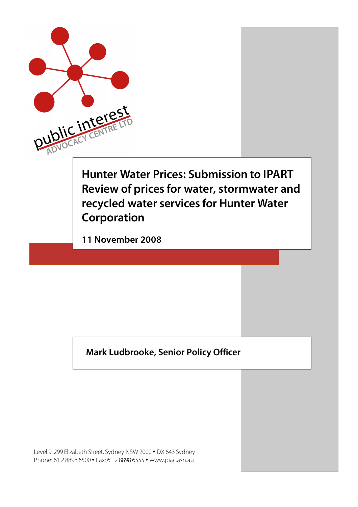

#### **Mark Ludbrooke, Senior Policy Officer**

Level 9, 299 Elizabeth Street, Sydney NSW 2000 • DX 643 Sydney Phone: 61 2 8898 6500 • Fax: 61 2 8898 6555 • www.piac.asn.au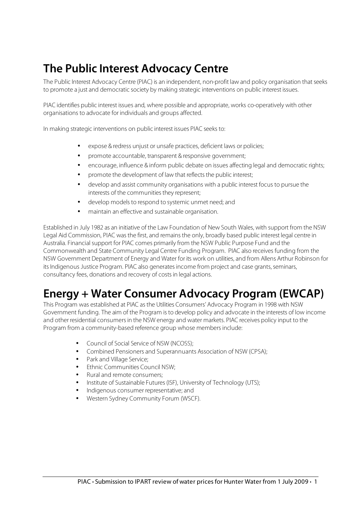# **The Public Interest Advocacy Centre**

The Public Interest Advocacy Centre (PIAC) is an independent, non-profit law and policy organisation that seeks to promote a just and democratic society by making strategic interventions on public interest issues.

PIAC identifies public interest issues and, where possible and appropriate, works co-operatively with other organisations to advocate for individuals and groups affected.

In making strategic interventions on public interest issues PIAC seeks to:

- expose & redress unjust or unsafe practices, deficient laws or policies;
- promote accountable, transparent & responsive government;
- encourage, influence & inform public debate on issues affecting legal and democratic rights;
- promote the development of law that reflects the public interest;
- develop and assist community organisations with a public interest focus to pursue the interests of the communities they represent;
- develop models to respond to systemic unmet need; and
- maintain an effective and sustainable organisation.

Established in July 1982 as an initiative of the Law Foundation of New South Wales, with support from the NSW Legal Aid Commission, PIAC was the first, and remains the only, broadly based public interest legal centre in Australia. Financial support for PIAC comes primarily from the NSW Public Purpose Fund and the Commonwealth and State Community Legal Centre Funding Program. PIAC also receives funding from the NSW Government Department of Energy and Water for its work on utilities, and from Allens Arthur Robinson for its Indigenous Justice Program. PIAC also generates income from project and case grants, seminars, consultancy fees, donations and recovery of costs in legal actions.

# **Energy + Water Consumer Advocacy Program (EWCAP)**

This Program was established at PIAC as the Utilities Consumers' Advocacy Program in 1998 with NSW Government funding. The aim of the Program is to develop policy and advocate in the interests of low income and other residential consumers in the NSW energy and water markets. PIAC receives policy input to the Program from a community-based reference group whose members include:

- Council of Social Service of NSW (NCOSS);
- Combined Pensioners and Superannuants Association of NSW (CPSA);
- Park and Village Service;
- Fthnic Communities Council NSW·
- Rural and remote consumers;
- Institute of Sustainable Futures (ISF), University of Technology (UTS);
- Indigenous consumer representative; and
- Western Sydney Community Forum (WSCF).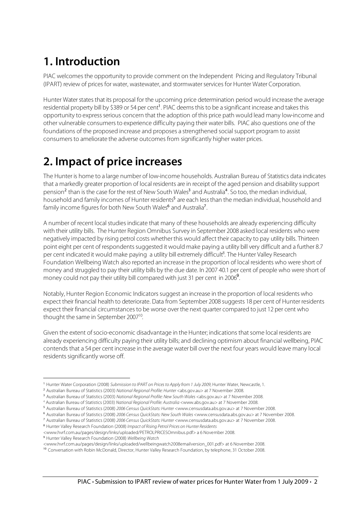# **1. Introduction**

PIAC welcomes the opportunity to provide comment on the Independent Pricing and Regulatory Tribunal (IPART) review of prices for water, wastewater, and stormwater services for Hunter Water Corporation.

Hunter Water states that its proposal for the upcoming price determination period would increase the average residential property bill by \$389 or 54 per cent<sup>1</sup>. PIAC deems this to be a significant increase and takes this opportunity to express serious concern that the adoption of this price path would lead many low-income and other vulnerable consumers to experience difficulty paying their water bills. PIAC also questions one of the foundations of the proposed increase and proposes a strengthened social support program to assist consumers to ameliorate the adverse outcomes from significantly higher water prices.

# **2. Impact of price increases**

The Hunter is home to a large number of low-income households. Australian Bureau of Statistics data indicates that a markedly greater proportion of local residents are in receipt of the aged pension and disability support pension<sup>2</sup> than is the case for the rest of New South Wales<sup>3</sup> and Australia<sup>4</sup>. So too, the median individual, household and family incomes of Hunter residents<sup>5</sup> are each less than the median individual, household and family income figures for both New South Wales<sup>6</sup> and Australia<sup>7</sup>.

A number of recent local studies indicate that many of these households are already experiencing difficulty with their utility bills. The Hunter Region Omnibus Survey in September 2008 asked local residents who were negatively impacted by rising petrol costs whether this would affect their capacity to pay utility bills. Thirteen point eight per cent of respondents suggested it would make paying a utility bill very difficult and a further 8.7 per cent indicated it would make paying a utility bill extremely difficult<sup>8</sup>. The Hunter Valley Research Foundation Wellbeing Watch also reported an increase in the proportion of local residents who were short of money and struggled to pay their utility bills by the due date. In 2007 40.1 per cent of people who were short of money could not pay their utility bill compared with just 31 per cent in 2006<sup>9</sup>.

Notably, Hunter Region Economic Indicators suggest an increase in the proportion of local residents who expect their financial health to deteriorate. Data from September 2008 suggests 18 per cent of Hunter residents expect their financial circumstances to be worse over the next quarter compared to just 12 per cent who thought the same in September 2007<sup>10</sup>.

Given the extent of socio-economic disadvantage in the Hunter; indications that some local residents are already experiencing difficulty paying their utility bills; and declining optimism about financial wellbeing, PIAC contends that a 54 per cent increase in the average water bill over the next four years would leave many local residents significantly worse off.

<sup>6</sup> Australian Bureau of Statistics (2008) 2006 Census QuickStats: New South Wales <www.censusdata.abs.gov.au> at 7 November 2008.

<sup>8</sup> Hunter Valley Research Foundation (2008) Impact of Rising Petrol Prices on Hunter Residents

<sup>9</sup> Hunter Valley Research Foundation (2008) Wellbeing Watch

j <sup>1</sup> Hunter Water Corporation (2008) Submission to IPART on Prices to Apply from 1 July 2009, Hunter Water, Newcastle, 1.

<sup>&</sup>lt;sup>2</sup> Australian Bureau of Statistics (2003) N*ational Regional Profile: Hunter* <abs.gov.au> at 7 November 2008.

<sup>&</sup>lt;sup>3</sup> Australian Bureau of Statistics (2003) National Regional Profile: New South Wales <abs.gov.au> at 7 November 2008.

<sup>4</sup> Australian Bureau of Statistics (2003) National Regional Profile: Australia <www.abs.gov.au> at 7 November 2008.

<sup>5</sup> Australian Bureau of Statistics (2008) 2006 Census QuickStats: Hunter <www.censusdata.abs.gov.au> at 7 November 2008.

<sup>7</sup> Australian Bureau of Statistics (2008) 2006 Census QuickStats: Hunter <www.censusdata.abs.gov.au> at 7 November 2008.

<sup>&</sup>lt;www.hvrf.com.au/pages/design/links/uploaded/PETROLPRICESOmnibus.pdf> a 6 November 2008.

<sup>&</sup>lt;www.hvrf.com.au/pages/design/links/uploaded/wellbeingwatch2008emailversion\_001.pdf> at 6 November 2008.

<sup>10</sup> Conversation with Robin McDonald, Director, Hunter Valley Research Foundation, by telephone, 31 October 2008.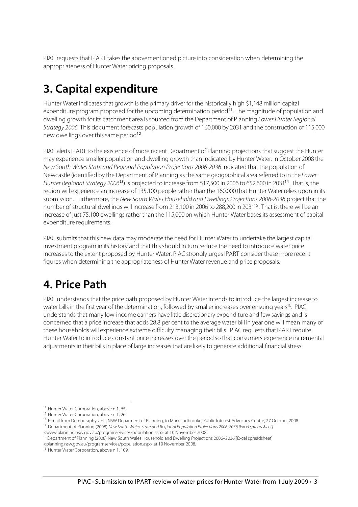PIAC requests that IPART takes the abovementioned picture into consideration when determining the appropriateness of Hunter Water pricing proposals.

# **3. Capital expenditure**

Hunter Water indicates that growth is the primary driver for the historically high \$1,148 million capital expenditure program proposed for the upcoming determination period<sup>11</sup>. The magnitude of population and dwelling growth for its catchment area is sourced from the Department of Planning Lower Hunter Regional Strategy 2006. This document forecasts population growth of 160,000 by 2031 and the construction of 115,000 new dwellings over this same period<sup>12</sup>.

PIAC alerts IPART to the existence of more recent Department of Planning projections that suggest the Hunter may experience smaller population and dwelling growth than indicated by Hunter Water. In October 2008 the New South Wales State and Regional Population Projections 2006-2036 indicated that the population of Newcastle (identified by the Department of Planning as the same geographical area referred to in the Lower Hunter Regional Strategy 2006<sup>13</sup>) is projected to increase from 517,500 in 2006 to 652,600 in 2031<sup>14</sup>. That is, the region will experience an increase of 135,100 people rather than the 160,000 that Hunter Water relies upon in its submission. Furthermore, the New South Wales Household and Dwellings Projections 2006-2036 project that the number of structural dwellings will increase from 213,100 in 2006 to 288,200 in 2031<sup>15</sup>. That is, there will be an increase of just 75,100 dwellings rather than the 115,000 on which Hunter Water bases its assessment of capital expenditure requirements.

PIAC submits that this new data may moderate the need for Hunter Water to undertake the largest capital investment program in its history and that this should in turn reduce the need to introduce water price increases to the extent proposed by Hunter Water. PIAC strongly urges IPART consider these more recent figures when determining the appropriateness of Hunter Water revenue and price proposals.

# **4. Price Path**

PIAC understands that the price path proposed by Hunter Water intends to introduce the largest increase to water bills in the first year of the determination, followed by smaller increases over ensuing years<sup>16</sup>. PIAC understands that many low-income earners have little discretionary expenditure and few savings and is concerned that a price increase that adds 28.8 per cent to the average water bill in year one will mean many of these households will experience extreme difficulty managing their bills. PIAC requests that IPART require Hunter Water to introduce constant price increases over the period so that consumers experience incremental adjustments in their bills in place of large increases that are likely to generate additional financial stress.

 $\overline{a}$ 

<sup>11</sup> Hunter Water Corporation, above n 1, 65.

<sup>&</sup>lt;sup>12</sup> Hunter Water Corporation, above n 1, 26.

<sup>&</sup>lt;sup>13</sup> E-mail from Demography Unit, NSW Deparment of Planning, to Mark Ludbrooke, Public Interest Advocacy Centre, 27 October 2008

<sup>14</sup> Department of Planning (2008) New South Wales State and Regional Population Projections 2006-2036 [Excel spreadsheet]

<sup>&</sup>lt;www.planning.nsw.gov.au/programservices/population.asp> at 10 November 2008.

<sup>&</sup>lt;sup>15</sup> Department of Planning (2008) New South Wales Household and Dwelling Projections 2006–2036 [Excel spreadsheet]

<sup>&</sup>lt;planning.nsw.gov.au/programservices/population.asp> at 10 November 2008.

<sup>16</sup> Hunter Water Corporation, above n 1, 109.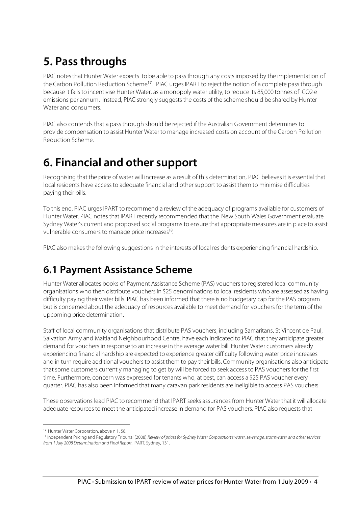# **5. Pass throughs**

PIAC notes that Hunter Water expects to be able to pass through any costs imposed by the implementation of the Carbon Pollution Reduction Scheme<sup>17</sup>. PIAC urges IPART to reject the notion of a complete pass through because it fails to incentivise Hunter Water, as a monopoly water utility, to reduce its 85,000 tonnes of CO2-e emissions per annum. Instead, PIAC strongly suggests the costs of the scheme should be shared by Hunter Water and consumers.

PIAC also contends that a pass through should be rejected if the Australian Government determines to provide compensation to assist Hunter Water to manage increased costs on account of the Carbon Pollution Reduction Scheme.

# **6. Financial and other support**

Recognising that the price of water will increase as a result of this determination, PIAC believes it is essential that local residents have access to adequate financial and other support to assist them to minimise difficulties paying their bills.

To this end, PIAC urges IPART to recommend a review of the adequacy of programs available for customers of Hunter Water. PIAC notes that IPART recently recommended that the New South Wales Government evaluate Sydney Water's current and proposed social programs to ensure that appropriate measures are in place to assist vulnerable consumers to manage price increases<sup>18</sup>.

PIAC also makes the following suggestions in the interests of local residents experiencing financial hardship.

#### **6.1 Payment Assistance Scheme**

Hunter Water allocates books of Payment Assistance Scheme (PAS) vouchers to registered local community organisations who then distribute vouchers in \$25 denominations to local residents who are assessed as having difficulty paying their water bills. PIAC has been informed that there is no budgetary cap for the PAS program but is concerned about the adequacy of resources available to meet demand for vouchers for the term of the upcoming price determination.

Staff of local community organisations that distribute PAS vouchers, including Samaritans, St Vincent de Paul, Salvation Army and Maitland Neighbourhood Centre, have each indicated to PIAC that they anticipate greater demand for vouchers in response to an increase in the average water bill. Hunter Water customers already experiencing financial hardship are expected to experience greater difficulty following water price increases and in turn require additional vouchers to assist them to pay their bills. Community organisations also anticipate that some customers currently managing to get by will be forced to seek access to PAS vouchers for the first time. Furthermore, concern was expressed for tenants who, at best, can access a \$25 PAS voucher every quarter. PIAC has also been informed that many caravan park residents are ineligible to access PAS vouchers.

These observations lead PIAC to recommend that IPART seeks assurances from Hunter Water that it will allocate adequate resources to meet the anticipated increase in demand for PAS vouchers. PIAC also requests that

 $\overline{a}$ 

<sup>&</sup>lt;sup>17</sup> Hunter Water Corporation, above n 1, 58.

<sup>&</sup>lt;sup>18</sup> Independent Pricing and Regulatory Tribunal (2008) Review of prices for Sydney Water Corporation's water, sewerage, stormwater and other services from 1 July 2008 Determination and Final Report, IPART, Sydney, 131.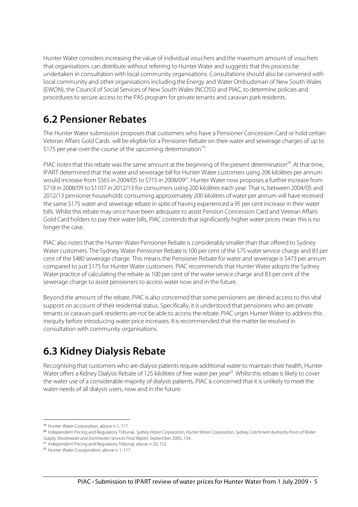Hunter Water considers increasing the value of individual vouchers and the maximum amount of vouchers that organisations can distribute without referring to Hunter Water and suggests that this process be undertaken in consultation with local community organisations. Consultations should also be convened with local community and other organisations including the Energy and Water Ombudsman of New South Wales (EWON), the Council of Social Services of New South Wales(NCOSS) and PIAC, to determine policies and procedures to secure access to the PAS program for private tenants and caravan park residents.

#### **6.2 Pensioner Rebates**

The Hunter Water submission proposes that customers who have a Pensioner Concession Card or hold certain Veteran Affairs Gold Cards will be eligible for a Pensioner Rebate on their water and sewerage charges of up to \$175 per year over the course of the upcoming determination<sup>19</sup>.

PIAC notes that this rebate was the same amount at the beginning of the present determination<sup>20</sup>. At that time, IPART determined that the water and sewerage bill for Hunter Water customers using 206 kilolitres per annum would increase from \$565 in 2004/05 to \$715 in 2008/09<sup>21</sup>. Hunter Water now proposes a further increase from \$718 in 2008/09 to \$1107 in 2012/13 for consumers using 200 kilolitres each year. That is, between 2004/05 and 2012/13 pensioner households consuming approximately 200 kilolitres of water per annum will have received the same \$175 water and sewerage rebate in spite of having experienced a 95 per cent increase in their water bills. Whilst this rebate may once have been adequate to assist Pension Concession Card and Veteran Affairs Gold Card holders to pay their water bills, PIAC contends that significantly higher water prices mean this is no longer the case.

PIAC also notes that the Hunter Water Pensioner Rebate is considerably smaller than that offered to Sydney Water customers. The Sydney Water Pensioner Rebate is 100 per cent of the \$75 water service charge and 83 per cent of the \$480 sewerage charge. This means the Pensioner Rebate for water and sewerage is \$473 per annum compared to just \$175 for Hunter Water customers. PIAC recommends that Hunter Water adopts the Sydney Water practice of calculating the rebate as 100 per cent of the water service charge and 83 per cent of the sewerage charge to assist pensioners to access water now and in the future.

Beyond the amount of the rebate, PIAC is also concerned that some pensioners are denied access to this vital support on account of their residential status. Specifically, it is understood that pensioners who are private tenants or caravan park residents are not be able to access the rebate. PIAC urges Hunter Water to address this inequity before introducing water price increases. It is recommended that the matter be resolved in consultation with community organisations.

# **6.3 Kidney Dialysis Rebate**

Recognising that customers who are dialysis patients require additional water to maintain their health, Hunter Water offers a Kidney Dialysis Rebate of 125 kilolitres of free water per year<sup>22</sup>. Whilst this rebate is likely to cover the water use of a considerable majority of dialysis patients, PIAC is concerned that it is unlikely to meet the water needs of all dialysis users, now and in the future.

 $\overline{a}$ 

<sup>19</sup> Hunter Water Corporation, above n 1, 117.

<sup>&</sup>lt;sup>20</sup> Independent Pricing and Regulatory Tribunal, Sydney Water Corporation, Hunter Water Corporation, Sydney Catchment Authority Prices of Water Supply, Wastewater and Stormwater Services Final Report, September 2005, 154.

<sup>&</sup>lt;sup>21</sup> Independent Pricing and Regulatory Tribunal, above n 20, 152.

<sup>22</sup> Hunter Water Coorporation, above n 1, 117.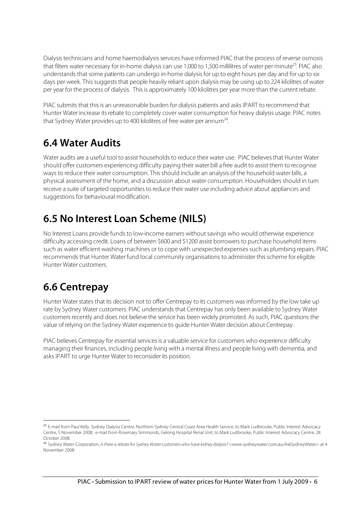Dialysis technicians and home haemodialysis services have informed PIAC that the process of reverse osmosis that filters water necessary for in-home dialysis can use 1,000 to 1,500 millilitres of water per minute<sup>23</sup>. PIAC also understands that some patients can undergo in-home dialysis for up to eight hours per day and for up to six days per week. This suggests that people heavily reliant upon dialysis may be using up to 224 kilolitres of water per year for the process of dialysis. This is approximately 100 kilolitres per year more than the current rebate.

PIAC submits that this is an unreasonable burden for dialysis patients and asks IPART to recommend that Hunter Water increase its rebate to completely cover water consumption for heavy dialysis usage. PIAC notes that Sydney Water provides up to 400 kilolitres of free water per annum<sup>24</sup>.

#### **6.4 Water Audits**

Water audits are a useful tool to assist households to reduce their water use. PIAC believes that Hunter Water should offer customers experiencing difficulty paying their water bill a free audit to assist them to recognise ways to reduce their water consumption. This should include an analysis of the household water bills, a physical assessment of the home, and a discussion about water consumption. Householders should in turn receive a suite of targeted opportunities to reduce their water use including advice about appliances and suggestions for behavioural modification.

# **6.5 No Interest Loan Scheme (NILS)**

No Interest Loans provide funds to low-income earners without savings who would otherwise experience difficulty accessing credit. Loans of between \$600 and \$1200 assist borrowers to purchase household items such as water efficient washing machines or to cope with unexpected expenses such as plumbing repairs. PIAC recommends that Hunter Water fund local community organisations to administer this scheme for eligible Hunter Water customers.

### **6.6 Centrepay**

 $\overline{a}$ 

Hunter Water states that its decision not to offer Centrepay to its customers was informed by the low take up rate by Sydney Water customers. PIAC understands that Centrepay has only been available to Sydney Water customers recently and does not believe the service has been widely promoted. As such, PIAC questions the value of relying on the Sydney Water experience to guide Hunter Water decision about Centrepay.

PIAC believes Centrepay for essential services is a valuable service for customers who experience difficulty managing their finances, including people living with a mental illness and people living with dementia, and asks IPART to urge Hunter Water to reconsider its position.

<sup>&</sup>lt;sup>23</sup> E-mail from Paul Kelly, Sydney Dialysis Centre, Northern Sydney Central Coast Area Health Service, to Mark Ludbrooke, Public Interest Advocacy Centre, 5 November 2008; e-mail from Rosemary Simmonds, Gelong Hospital Renal Unit, to Mark Ludbrooke, Public Interest Advocacy Centre, 28 October 2008.

<sup>&</sup>lt;sup>24</sup> Sydney Water Corporation, Is there a rebate for Sydney Water customers who have kidney dialysis? <www.sydneywater.com.au/AskSydneyWater> at 4 November 2008.